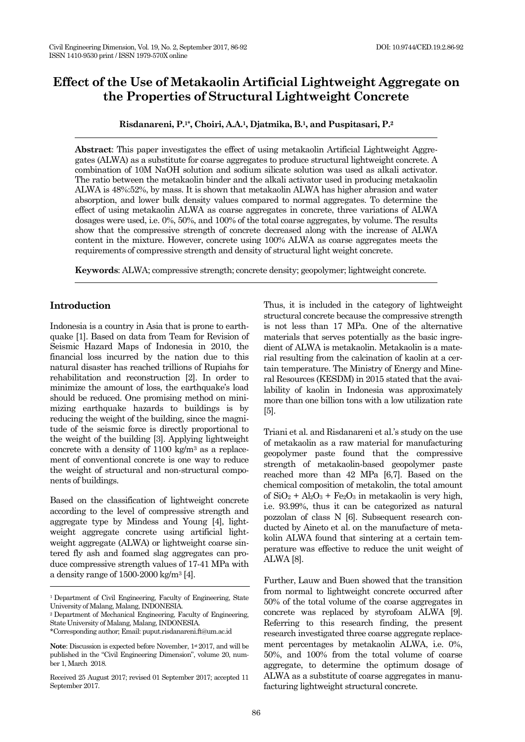# **Effect of the Use of Metakaolin Artificial Lightweight Aggregate on the Properties of Structural Lightweight Concrete**

**Risdanareni, P.1\*, Choiri, A.A.1, Djatmika, B.1, and Puspitasari, P.<sup>2</sup>**

**Abstract**: This paper investigates the effect of using metakaolin Artificial Lightweight Aggregates (ALWA) as a substitute for coarse aggregates to produce structural lightweight concrete. A combination of 10M NaOH solution and sodium silicate solution was used as alkali activator. The ratio between the metakaolin binder and the alkali activator used in producing metakaolin ALWA is 48%:52%, by mass. It is shown that metakaolin ALWA has higher abrasion and water absorption, and lower bulk density values compared to normal aggregates. To determine the effect of using metakaolin ALWA as coarse aggregates in concrete, three variations of ALWA dosages were used, i.e. 0%, 50%, and 100% of the total coarse aggregates, by volume. The results show that the compressive strength of concrete decreased along with the increase of ALWA content in the mixture. However, concrete using 100% ALWA as coarse aggregates meets the requirements of compressive strength and density of structural light weight concrete.

**Keywords**: ALWA; compressive strength; concrete density; geopolymer; lightweight concrete.

#### **Introduction**

Indonesia is a country in Asia that is prone to earthquake [1]. Based on data from Team for Revision of Seismic Hazard Maps of Indonesia in 2010, the financial loss incurred by the nation due to this natural disaster has reached trillions of Rupiahs for rehabilitation and reconstruction [2]. In order to minimize the amount of loss, the earthquake's load should be reduced. One promising method on minimizing earthquake hazards to buildings is by reducing the weight of the building, since the magnitude of the seismic force is directly proportional to the weight of the building [3]. Applying lightweight concrete with a density of  $1100 \text{ kg/m}^3$  as a replacement of conventional concrete is one way to reduce the weight of structural and non-structural components of buildings.

Based on the classification of lightweight concrete according to the level of compressive strength and aggregate type by Mindess and Young [4], lightweight aggregate concrete using artificial lightweight aggregate (ALWA) or lightweight coarse sintered fly ash and foamed slag aggregates can produce compressive strength values of 17-41 MPa with a density range of 1500-2000 kg/m<sup>3</sup> [4].

<sup>2</sup>Department of Mechanical Engineering, Faculty of Engineering, State University of Malang, Malang, INDONESIA.

Thus, it is included in the category of lightweight structural concrete because the compressive strength is not less than 17 MPa. One of the alternative materials that serves potentially as the basic ingredient of ALWA is metakaolin. Metakaolin is a material resulting from the calcination of kaolin at a certain temperature. The Ministry of Energy and Mineral Resources (KESDM) in 2015 stated that the availability of kaolin in Indonesia was approximately more than one billion tons with a low utilization rate [5].

Triani et al. and Risdanareni et al.'s study on the use of metakaolin as a raw material for manufacturing geopolymer paste found that the compressive strength of metakaolin-based geopolymer paste reached more than 42 MPa [6,7]. Based on the chemical composition of metakolin, the total amount of  $SiO_2 + Al_2O_3 + Fe_2O_3$  in metakaolin is very high, i.e. 93.99%, thus it can be categorized as natural pozzolan of class N [6]. Subsequent research conducted by Aineto et al. on the manufacture of metakolin ALWA found that sintering at a certain temperature was effective to reduce the unit weight of ALWA [8].

Further, Lauw and Buen showed that the transition from normal to lightweight concrete occurred after 50% of the total volume of the coarse aggregates in concrete was replaced by styrofoam ALWA [9]. Referring to this research finding, the present research investigated three coarse aggregate replacement percentages by metakaolin ALWA, i.e. 0%, 50%, and 100% from the total volume of coarse aggregate, to determine the optimum dosage of ALWA as a substitute of coarse aggregates in manufacturing lightweight structural concrete.

<sup>&</sup>lt;sup>1</sup> Department of Civil Engineering, Faculty of Engineering, State University of Malang, Malang, INDONESIA.

<sup>\*</sup>Corresponding author; Email: puput.risdanareni.ft@um.ac.id

Note: Discussion is expected before November,  $1*2017$ , and will be published in the "Civil Engineering Dimension", volume 20, number 1, March 2018.

Received 25 August 2017; revised 01 September 2017; accepted 11 September 2017.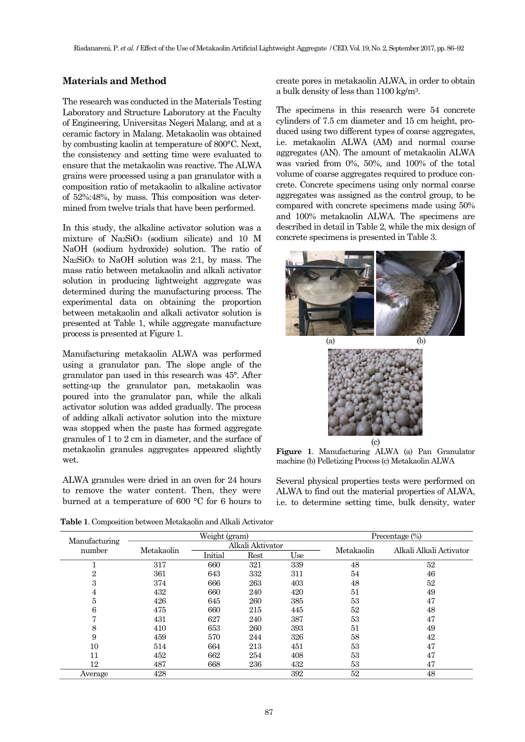# **Materials and Method**

The research was conducted in the Materials Testing Laboratory and Structure Laboratory at the Faculty of Engineering, Universitas Negeri Malang, and at a ceramic factory in Malang. Metakaolin was obtained by combusting kaolin at temperature of 800°C. Next, the consistency and setting time were evaluated to ensure that the metakaolin was reactive. The ALWA grains were processed using a pan granulator with a composition ratio of metakaolin to alkaline activator of 52%:48%, by mass. This composition was determined from twelve trials that have been performed.

In this study, the alkaline activator solution was a mixture of Na2SiO<sup>3</sup> (sodium silicate) and 10 M NaOH (sodium hydroxide) solution. The ratio of Na2SiO<sup>3</sup> to NaOH solution was 2:1, by mass. The mass ratio between metakaolin and alkali activator solution in producing lightweight aggregate was determined during the manufacturing process. The experimental data on obtaining the proportion between metakaolin and alkali activator solution is presented at Table 1, while aggregate manufacture process is presented at Figure 1.

Manufacturing metakaolin ALWA was performed using a granulator pan. The slope angle of the granulator pan used in this research was 45°. After setting-up the granulator pan, metakaolin was poured into the granulator pan, while the alkali activator solution was added gradually. The process of adding alkali activator solution into the mixture was stopped when the paste has formed aggregate granules of 1 to 2 cm in diameter, and the surface of metakaolin granules aggregates appeared slightly wet.

ALWA granules were dried in an oven for 24 hours to remove the water content. Then, they were burned at a temperature of 600 °C for 6 hours to create pores in metakaolin ALWA, in order to obtain a bulk density of less than 1100 kg/m3.

The specimens in this research were 54 concrete cylinders of 7.5 cm diameter and 15 cm height, produced using two different types of coarse aggregates, i.e. metakaolin ALWA (AM) and normal coarse aggregates (AN). The amount of metakaolin ALWA was varied from 0%, 50%, and 100% of the total volume of coarse aggregates required to produce concrete. Concrete specimens using only normal coarse aggregates was assigned as the control group, to be compared with concrete specimens made using 50% and 100% metakaolin ALWA. The specimens are described in detail in Table 2, while the mix design of concrete specimens is presented in Table 3.



**Figure 1**. Manufacturing ALWA (a) Pan Granulator machine (b) Pelletizing Process (c) Metakaolin ALWA

Several physical properties tests were performed on ALWA to find out the material properties of ALWA, i.e. to determine setting time, bulk density, water

**Table 1**. Composition between Metakaolin and Alkali Activator

|                         |            | Weight (gram) |                  |     | Precentage $(\%)$ |                         |  |
|-------------------------|------------|---------------|------------------|-----|-------------------|-------------------------|--|
| Manufacturing<br>number | Metakaolin |               | Alkali Aktivator |     | Metakaolin        | Alkali Alkali Activator |  |
|                         |            | Initial       | Rest             | Use |                   |                         |  |
|                         | 317        | 660           | 321              | 339 | 48                | 52                      |  |
| $\overline{2}$          | 361        | 643           | 332              | 311 | 54                | 46                      |  |
| 3                       | 374        | 666           | 263              | 403 | 48                | 52                      |  |
| 4                       | 432        | 660           | 240              | 420 | 51                | 49                      |  |
| 5                       | 426        | 645           | 260              | 385 | 53                | 47                      |  |
| 6                       | 475        | 660           | 215              | 445 | 52                | 48                      |  |
|                         | 431        | 627           | 240              | 387 | 53                | 47                      |  |
| 8                       | 410        | 653           | 260              | 393 | 51                | 49                      |  |
| 9                       | 459        | 570           | 244              | 326 | 58                | 42                      |  |
| 10                      | 514        | 664           | 213              | 451 | 53                | 47                      |  |
| 11                      | 452        | 662           | 254              | 408 | 53                | 47                      |  |
| 12                      | 487        | 668           | 236              | 432 | 53                | 47                      |  |
| Average                 | 428        |               |                  | 392 | 52                | 48                      |  |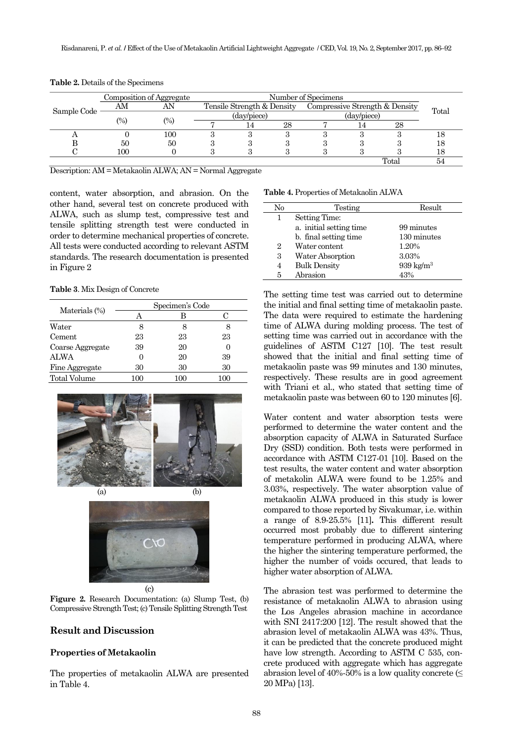|             | Composition of Aggregate |                    | Number of Specimens |                                                              |    |             |  |       |       |
|-------------|--------------------------|--------------------|---------------------|--------------------------------------------------------------|----|-------------|--|-------|-------|
| Sample Code | ΑM                       | AN                 |                     | Compressive Strength & Density<br>Tensile Strength & Density |    |             |  |       | Total |
|             | $\frac{1}{2}$            | $\left( \%\right)$ | (day/piece)         |                                                              |    | (day/piece) |  |       |       |
|             |                          |                    |                     |                                                              | 28 |             |  | 28    |       |
|             |                          | 100                |                     |                                                              |    |             |  |       |       |
|             | 50                       | 50                 |                     |                                                              |    |             |  |       |       |
|             | 100                      |                    |                     |                                                              |    |             |  |       |       |
|             |                          |                    |                     |                                                              |    |             |  | Total | 54    |

**Table 2.** Details of the Specimens

Description: AM = Metakaolin ALWA; AN = Normal Aggregate

content, water absorption, and abrasion. On the other hand, several test on concrete produced with ALWA, such as slump test, compressive test and tensile splitting strength test were conducted in order to determine mechanical properties of concrete. All tests were conducted according to relevant ASTM standards. The research documentation is presented in Figure 2

**Table 3**. Mix Design of Concrete

|                     | Specimen's Code |     |    |  |  |
|---------------------|-----------------|-----|----|--|--|
| Materials (%)       |                 |     |    |  |  |
| Water               |                 |     |    |  |  |
| Cement              | 23              | 23  | 23 |  |  |
| Coarse Aggregate    | 39              | 20  |    |  |  |
| <b>ALWA</b>         |                 | 20  | 39 |  |  |
| Fine Aggregate      | 30              | 30  | 30 |  |  |
| <b>Total Volume</b> | 100             | 100 |    |  |  |





(c)

**Figure 2.** Research Documentation: (a) Slump Test, (b) Compressive Strength Test; (c) Tensile Splitting Strength Test

# **Result and Discussion**

#### **Properties of Metakaolin**

The properties of metakaolin ALWA are presented in Table 4.

**Table 4.** Properties of Metakaolin ALWA

| No             | Testing                 | Result               |
|----------------|-------------------------|----------------------|
| 1              | Setting Time:           |                      |
|                | a. initial setting time | 99 minutes           |
|                | b. final setting time   | 130 minutes          |
| $\overline{2}$ | Water content           | 1.20%                |
| 3              | Water Absorption        | 3.03%                |
| 4              | <b>Bulk Density</b>     | $939 \text{ kg/m}^3$ |
| 5              | Abrasion                | 43%                  |

The setting time test was carried out to determine the initial and final setting time of metakaolin paste. The data were required to estimate the hardening time of ALWA during molding process. The test of setting time was carried out in accordance with the guidelines of ASTM C127 [10]. The test result showed that the initial and final setting time of metakaolin paste was 99 minutes and 130 minutes, respectively. These results are in good agreement with Triani et al., who stated that setting time of metakaolin paste was between 60 to 120 minutes [6].

Water content and water absorption tests were performed to determine the water content and the absorption capacity of ALWA in Saturated Surface Dry (SSD) condition. Both tests were performed in accordance with ASTM C127-01 [10]. Based on the test results, the water content and water absorption of metakolin ALWA were found to be 1.25% and 3.03%, respectively. The water absorption value of metakaolin ALWA produced in this study is lower compared to those reported by Sivakumar, i.e. within a range of 8.9-25.5% [11]**.** This different result occurred most probably due to different sintering temperature performed in producing ALWA, where the higher the sintering temperature performed, the higher the number of voids occured, that leads to higher water absorption of ALWA.

The abrasion test was performed to determine the resistance of metakaolin ALWA to abrasion using the Los Angeles abrasion machine in accordance with SNI 2417:200 [12]. The result showed that the abrasion level of metakaolin ALWA was 43%. Thus, it can be predicted that the concrete produced might have low strength. According to ASTM C 535, concrete produced with aggregate which has aggregate abrasion level of 40%-50% is a low quality concrete ( $\leq$ 20 MPa) [13].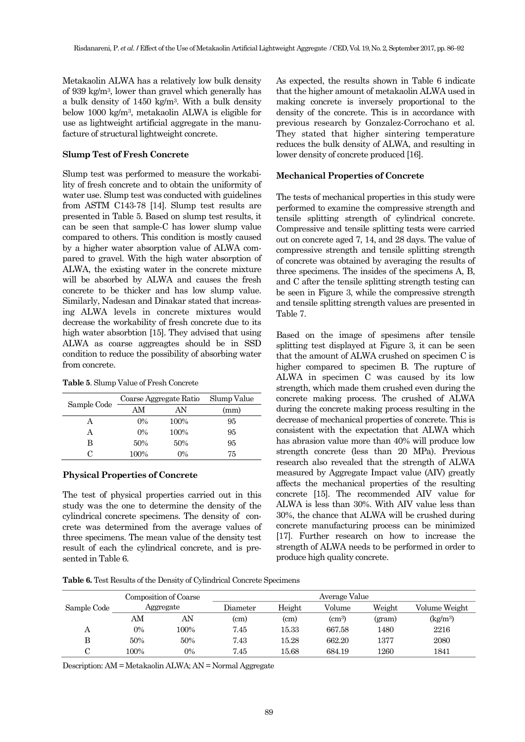Metakaolin ALWA has a relatively low bulk density of 939 kg/m3, lower than gravel which generally has a bulk density of 1450 kg/m3. With a bulk density below 1000 kg/m3, metakaolin ALWA is eligible for use as lightweight artificial aggregate in the manufacture of structural lightweight concrete.

#### **Slump Test of Fresh Concrete**

Slump test was performed to measure the workability of fresh concrete and to obtain the uniformity of water use. Slump test was conducted with guidelines from ASTM C143-78 [14]. Slump test results are presented in Table 5. Based on slump test results, it can be seen that sample-C has lower slump value compared to others. This condition is mostly caused by a higher water absorption value of ALWA compared to gravel. With the high water absorption of ALWA, the existing water in the concrete mixture will be absorbed by ALWA and causes the fresh concrete to be thicker and has low slump value. Similarly, Nadesan and Dinakar stated that increasing ALWA levels in concrete mixtures would decrease the workability of fresh concrete due to its high water absorbtion [15]. They advised that using ALWA as coarse aggreagtes should be in SSD condition to reduce the possibility of absorbing water from concrete.

**Table 5**. Slump Value of Fresh Concrete

|             | Coarse Aggregate Ratio | Slump Value |      |
|-------------|------------------------|-------------|------|
| Sample Code | AM                     | AN          | (mm) |
| А           | $0\%$                  | 100%        | 95   |
| А           | $0\%$                  | 100%        | 95   |
| В           | 50%                    | 50%         | 95   |
|             | 100%                   | $0\%$       | 75   |

# **Physical Properties of Concrete**

The test of physical properties carried out in this study was the one to determine the density of the cylindrical concrete specimens. The density of concrete was determined from the average values of three specimens. The mean value of the density test result of each the cylindrical concrete, and is presented in Table 6.

As expected, the results shown in Table 6 indicate that the higher amount of metakaolin ALWA used in making concrete is inversely proportional to the density of the concrete. This is in accordance with previous research by Gonzalez-Corrochano et al. They stated that higher sintering temperature reduces the bulk density of ALWA, and resulting in lower density of concrete produced [16].

#### **Mechanical Properties of Concrete**

The tests of mechanical properties in this study were performed to examine the compressive strength and tensile splitting strength of cylindrical concrete. Compressive and tensile splitting tests were carried out on concrete aged 7, 14, and 28 days. The value of compressive strength and tensile splitting strength of concrete was obtained by averaging the results of three specimens. The insides of the specimens A, B, and C after the tensile splitting strength testing can be seen in Figure 3, while the compressive strength and tensile splitting strength values are presented in Table 7.

Based on the image of spesimens after tensile splitting test displayed at Figure 3, it can be seen that the amount of ALWA crushed on specimen C is higher compared to specimen B. The rupture of ALWA in specimen C was caused by its low strength, which made them crushed even during the concrete making process. The crushed of ALWA during the concrete making process resulting in the decrease of mechanical properties of concrete. This is consistent with the expectation that ALWA which has abrasion value more than 40% will produce low strength concrete (less than 20 MPa). Previous research also revealed that the strength of ALWA measured by Aggregate Impact value (AIV) greatly affects the mechanical properties of the resulting concrete [15]. The recommended AIV value for ALWA is less than 30%. With AIV value less than 30%, the chance that ALWA will be crushed during concrete manufacturing process can be minimized [17]. Further research on how to increase the strength of ALWA needs to be performed in order to produce high quality concrete.

**Table 6.** Test Results of the Density of Cylindrical Concrete Specimens

|             | Composition of Coarse<br>Aggregate |      | Average Value     |                   |              |        |               |  |  |
|-------------|------------------------------------|------|-------------------|-------------------|--------------|--------|---------------|--|--|
| Sample Code |                                    |      | Diameter          | Height            | Volume       | Weight | Volume Weight |  |  |
|             | AΜ                                 | AN   | (c <sub>m</sub> ) | (c <sub>m</sub> ) | $\rm (cm^3)$ | (gram) | $(kg/m^3)$    |  |  |
| Α           | $0\%$                              | 100% | 7.45              | 15.33             | 667.58       | 1480   | 2216          |  |  |
| В           | 50%                                | 50%  | 7.43              | 15.28             | 662.20       | 1377   | 2080          |  |  |
| С           | 100%                               | 0%   | 7.45              | $15.68\,$         | 684.19       | 1260   | 1841          |  |  |

Description: AM = Metakaolin ALWA; AN = Normal Aggregate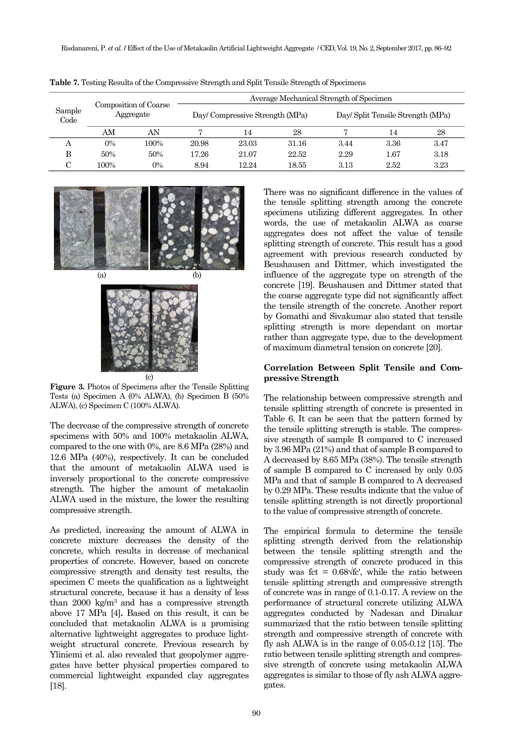| Sample<br>Code | Composition of Coarse<br>Aggregate |       | Average Mechanical Strength of Specimen |                                 |       |                                   |          |      |  |
|----------------|------------------------------------|-------|-----------------------------------------|---------------------------------|-------|-----------------------------------|----------|------|--|
|                |                                    |       |                                         | Day/ Compressive Strength (MPa) |       | Day/ Split Tensile Strength (MPa) |          |      |  |
|                | AM                                 | AN    |                                         | 14                              | 28    |                                   | 14       | 28   |  |
| А              | $0\%$                              | 100%  | 20.98                                   | 23.03                           | 31.16 | 3.44                              | 3.36     | 3.47 |  |
| в              | 50%                                | 50%   | 17.26                                   | 21.07                           | 22.52 | 2.29                              | $1.67\,$ | 3.18 |  |
| $\sim$         | 100%                               | $0\%$ | 8.94                                    | 12.24                           | 18.55 | 3.13                              | 2.52     | 3.23 |  |

**Table 7.** Testing Results of the Compressive Strength and Split Tensile Strength of Specimens



**Figure 3.** Photos of Specimens after the Tensile Splitting Tests (a) Specimen A (0% ALWA), (b) Specimen B (50% ALWA), (c) Specimen C (100% ALWA).

The decrease of the compressive strength of concrete specimens with 50% and 100% metakaolin ALWA, compared to the one with 0%, are 8.6 MPa (28%) and 12.6 MPa (40%), respectively. It can be concluded that the amount of metakaolin ALWA used is inversely proportional to the concrete compressive strength. The higher the amount of metakaolin ALWA used in the mixture, the lower the resulting compressive strength.

As predicted, increasing the amount of ALWA in concrete mixture decreases the density of the concrete, which results in decrease of mechanical properties of concrete. However, based on concrete compressive strength and density test results, the specimen C meets the qualification as a lightweight structural concrete, because it has a density of less than 2000 kg/m3 and has a compressive strength above 17 MPa [4]**.** Based on this result, it can be concluded that metakaolin ALWA is a promising alternative lightweight aggregates to produce lightweight structural concrete. Previous research by Yliniemi et al. also revealed that geopolymer aggregates have better physical properties compared to commercial lightweight expanded clay aggregates [18].

There was no significant difference in the values of the tensile splitting strength among the concrete specimens utilizing different aggregates. In other words, the use of metakaolin ALWA as coarse aggregates does not affect the value of tensile splitting strength of concrete. This result has a good agreement with previous research conducted by Beushausen and Dittmer, which investigated the influence of the aggregate type on strength of the concrete [19]. Beushausen and Dittmer stated that the coarse aggregate type did not significantly affect the tensile strength of the concrete. Another report by Gomathi and Sivakumar also stated that tensile splitting strength is more dependant on mortar rather than aggregate type, due to the development of maximum diametral tension on concrete [20].

#### **Correlation Between Split Tensile and Compressive Strength**

The relationship between compressive strength and tensile splitting strength of concrete is presented in Table 6. It can be seen that the pattern formed by the tensile splitting strength is stable. The compressive strength of sample B compared to C increased by 3.96 MPa (21%) and that of sample B compared to A decreased by 8.65 MPa (38%). The tensile strength of sample B compared to C increased by only 0.05 MPa and that of sample B compared to A decreased by 0.29 MPa. These results indicate that the value of tensile splitting strength is not directly proportional to the value of compressive strength of concrete.

The empirical formula to determine the tensile splitting strength derived from the relationship between the tensile splitting strength and the compressive strength of concrete produced in this study was fct =  $0.68\sqrt{t}$ ; while the ratio between tensile splitting strength and compressive strength of concrete was in range of 0.1-0.17. A review on the performance of structural concrete utilizing ALWA aggregates conducted by Nadesan and Dinakar summarized that the ratio between tensile splitting strength and compressive strength of concrete with fly ash ALWA is in the range of 0.05-0.12 [15]. The ratio between tensile splitting strength and compressive strength of concrete using metakaolin ALWA aggregates is similar to those of fly ash ALWA aggregates.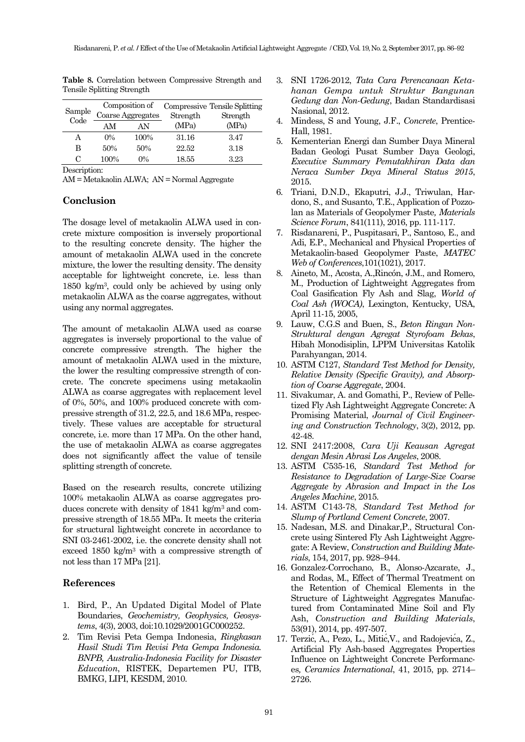| Sample                   |       | Composition of<br>Coarse Aggregates | Strength | Compressive Tensile Splitting<br>Strength |  |
|--------------------------|-------|-------------------------------------|----------|-------------------------------------------|--|
| Code                     | AM    | ΑN                                  | (MPa)    | (MPa)                                     |  |
| А                        | $0\%$ | 100%                                | 31.16    | 3.47                                      |  |
| в                        | 50%   | 50%                                 | 22.52    | 3.18                                      |  |
| C                        | 100%  | $0\%$                               | 18.55    | 3.23                                      |  |
| $\overline{\phantom{a}}$ |       |                                     |          |                                           |  |

**Table 8.** Correlation between Compressive Strength and Tensile Splitting Strength

Description:

AM = Metakaolin ALWA; AN = Normal Aggregate

# **Conclusion**

The dosage level of metakaolin ALWA used in concrete mixture composition is inversely proportional to the resulting concrete density. The higher the amount of metakaolin ALWA used in the concrete mixture, the lower the resulting density. The density acceptable for lightweight concrete, i.e. less than 1850 kg/m3, could only be achieved by using only metakaolin ALWA as the coarse aggregates, without using any normal aggregates.

The amount of metakaolin ALWA used as coarse aggregates is inversely proportional to the value of concrete compressive strength. The higher the amount of metakaolin ALWA used in the mixture, the lower the resulting compressive strength of concrete. The concrete specimens using metakaolin ALWA as coarse aggregates with replacement level of 0%, 50%, and 100% produced concrete with compressive strength of 31.2, 22.5, and 18.6 MPa, respectively. These values are acceptable for structural concrete, i.e. more than 17 MPa. On the other hand, the use of metakaolin ALWA as coarse aggregates does not significantly affect the value of tensile splitting strength of concrete.

Based on the research results, concrete utilizing 100% metakaolin ALWA as coarse aggregates produces concrete with density of 1841 kg/m3 and compressive strength of 18.55 MPa. It meets the criteria for structural lightweight concrete in accordance to SNI 03-2461-2002, i.e. the concrete density shall not exceed 1850 kg/m<sup>3</sup> with a compressive strength of not less than 17 MPa [21].

# **References**

- 1. Bird, P., An Updated Digital Model of Plate Boundaries, *Geochemistry, Geophysics, Geosystems*, 4(3), 2003, doi:10.1029/2001GC000252.
- 2. Tim Revisi Peta Gempa Indonesia, *Ringkasan Hasil Studi Tim Revisi Peta Gempa Indonesia. BNPB, Australia-Indonesia Facility for Disaster Education*, RISTEK, Departemen PU, ITB, BMKG, LIPI, KESDM, 2010.
- 3. SNI 1726-2012, *Tata Cara Perencanaan Ketahanan Gempa untuk Struktur Bangunan Gedung dan Non-Gedung*, Badan Standardisasi Nasional, 2012.
- 4. Mindess, S and Young, J.F., *Concrete*, Prentice-Hall, 1981.
- 5. Kementerian Energi dan Sumber Daya Mineral Badan Geologi Pusat Sumber Daya Geologi, *Executive Summary Pemutakhiran Data dan Neraca Sumber Daya Mineral Status 2015*, 2015.
- 6. Triani, D.N.D., Ekaputri, J.J., Triwulan, Hardono, S., and Susanto, T.E., Application of Pozzolan as Materials of Geopolymer Paste*, Materials Science Forum*, 841(111), 2016, pp. 111-117.
- 7. Risdanareni, P., Puspitasari, P., Santoso, E., and Adi, E.P., Mechanical and Physical Properties of Metakaolin-based Geopolymer Paste, *MATEC Web of Conferences*,101(1021), 2017.
- 8. Aineto, M., Acosta, A.,Rincón, J.M., and Romero, M., Production of Lightweight Aggregates from Coal Gasification Fly Ash and Slag, *World of Coal Ash (WOCA)*, Lexington, Kentucky, USA, April 11-15, 2005,
- 9. Lauw, C.G.S and Buen, S., *Beton Ringan Non-Struktural dengan Agregat Styrofoam Bekas*, Hibah Monodisiplin, LPPM Universitas Katolik Parahyangan, 2014.
- 10. ASTM C127, *Standard Test Method for Density, Relative Density (Specific Gravity), and Absorption of Coarse Aggregate*, 2004.
- 11. Sivakumar, A. and Gomathi, P., Review of Pelletized Fly Ash Lightweight Aggregate Concrete: A Promising Material, *Journal of Civil Engineering and Construction Technology*, 3(2), 2012, pp. 42-48.
- 12. SNI 2417:2008, *Cara Uji Keausan Agregat dengan Mesin Abrasi Los Angeles*, 2008.
- 13. ASTM C535-16, *Standard Test Method for Resistance to Degradation of Large-Size Coarse Aggregate by Abrasion and Impact in the Los Angeles Machine*, 2015.
- 14. ASTM C143-78, *Standard Test Method for Slump of Portland Cement Concrete*, 2007.
- 15. Nadesan, M.S. and Dinakar,P., Structural Concrete using Sintered Fly Ash Lightweight Aggregate: A Review, *Construction and Building Materials*, 154, 2017, pp. 928–944.
- 16. Gonzalez-Corrochano, B., Alonso-Azcarate, J., and Rodas, M., Effect of Thermal Treatment on the Retention of Chemical Elements in the Structure of Lightweight Aggregates Manufactured from Contaminated Mine Soil and Fly Ash, *Construction and Building Materials*, 53(91), 2014, pp. 497-507.
- 17. Terzic, A., Pezo, L., Mitic, V., and Radojevica, Z., Artificial Fly Ash-based Aggregates Properties Influence on Lightweight Concrete Performances*, Ceramics International*, 41, 2015, pp. 2714– 2726.